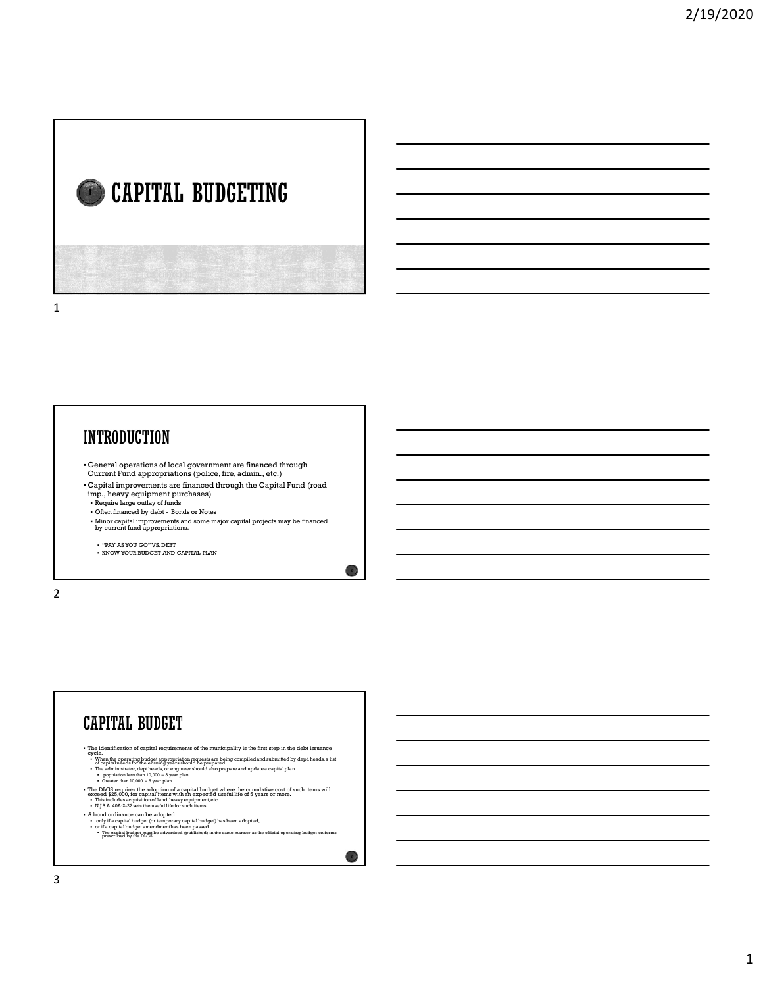# CAPITAL BUDGETING  $\blacksquare$   $\blacksquare$   $\blacksquare$   $\blacksquare$   $\blacksquare$   $\blacksquare$   $\blacksquare$   $\blacksquare$   $\blacksquare$   $\blacksquare$   $\blacksquare$   $\blacksquare$   $\blacksquare$   $\blacksquare$   $\blacksquare$   $\blacksquare$   $\blacksquare$   $\blacksquare$   $\blacksquare$   $\blacksquare$   $\blacksquare$   $\blacksquare$   $\blacksquare$   $\blacksquare$   $\blacksquare$   $\blacksquare$   $\blacksquare$   $\blacksquare$   $\blacksquare$   $\blacksquare$   $\blacksquare$   $\blacks$

1

- General operations of local government are financed through Current Fund appropriations (police, fire, admin., etc.)
- Capital improvements are financed through the Capital Fund (road imp., heavy equipment purchases)<br>• Require large outlay of funds
- 
- Minor capital improvements and some major capital projects may be financed by current fund appropriations.

2

- $\bullet$  "PAY AS YOU GO" VS. DEBT
- KNOW YOUR BUDGET AND CAPITAL PLAN

2 and 2 and 2 and 2 and 2 and 2 and 2 and 2 and 2 and 2 and 2 and 2 and 2 and 2 and 2 and 2 and 2 and 2 and 2

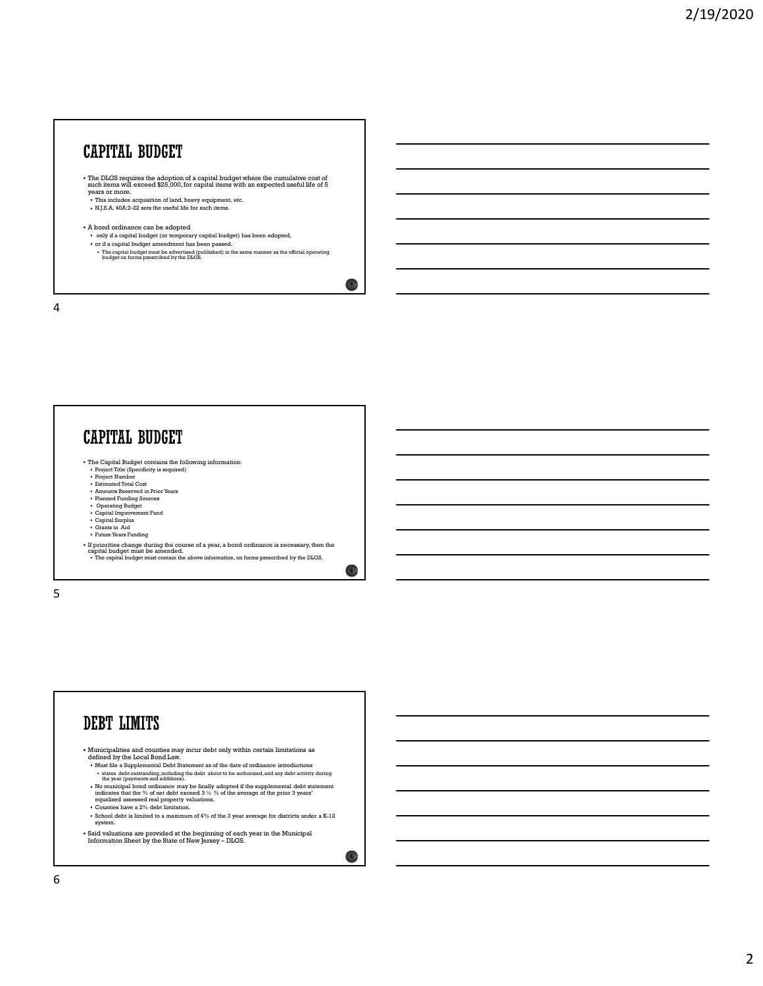## CAPITAL BUDGET

- The DLGS requires the adoption of a capital budget where the cumulative cost of such items will exceed \$25,000, for capital items with an expected useful life of 5 years or more.
- This includes acquisition of land, heavy equipment, etc.<br>• N.J.S.A. 40A:2-22 sets the useful life for such items.
- A bond ordinance can be adopted
- 
- only if a capital budget (or temporary capital budget) has been adopted,<br>• or if a capital budget amendment has been passed.<br>• The capital budget must be advertised (published) in the same manner as the official operatin

 $\overline{4}$  )

 $\sim$  5 )

4

## **CAPITAL BUDGET** Fire Capital Budget contains the following information:<br>• Project Title (Specificity is required)<br>• Project Number<br>• Estimated Total Cost Amounts Reserved in Prior Years Planned Funding Sources Operating Budget Capital Improvement Fund Capital Surplus Grants in Aid Future Years Funding If priorities change during the course of a year, a bond ordinance is necessary, then the capital budget must be amended. • The capital budget must contain the above information, on forms prescribed by the DLGS.

 $5<sub>5</sub>$ 

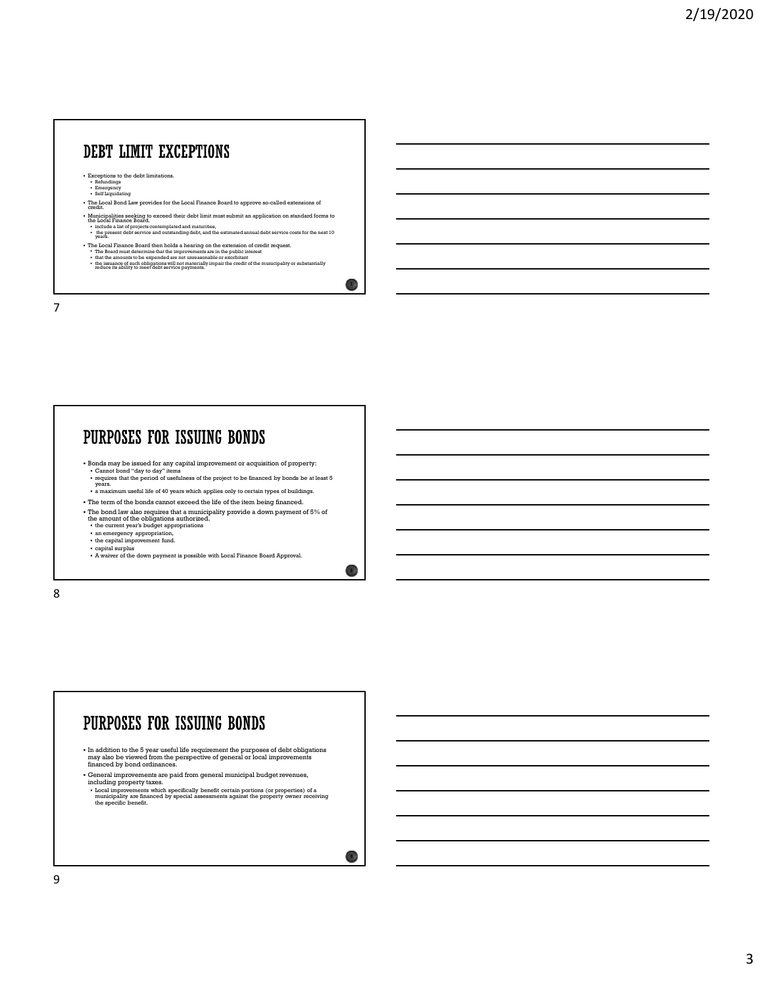## DEBT LIMIT EXCEPTIONS

Exceptions to the debt limitations.<br>
Formulating<br>
Self Liquidating<br>
Self Liquidating

- 
- The Local Bond Law provides for the Local Finance Board to approve so-called extensions of credit.
- Municipalities seeking to exceed their debt limit must submit an application on standard forms to<br>the Local Finance Board (1996) and the standard maturities,<br>• include a limit of the projects contemplated and maturities,<br>•
- 
- 
- The Local Finance Board then holds a hearing on the extension of credit request.<br>• The Board must determine that the improvements are in the public interest<br>• that the amounts to be expended are not unreasonable or exor

 $\overline{1}$ 

 $\bullet$  )

7

## PURPOSES FOR ISSUING BONDS Bonds may be issued for any capital improvement or acquisition of property:<br>
Cannot bond "day to day" items<br>
requires that the period of usefulness of the project to be financed by bonds be at least 5<br>
years. a maximum useful life of 40 years which applies only to certain types of buildings. The term of the bonds cannot exceed the life of the item being financed. The bond law also requires that a municipality provide a down payment of 5% of the amount of the obligations authorized. the current year's budget appropriations • an emergency appropriation,<br>• the capital improvement fund.<br>• capital surplus<br>• A waiver of the down payment is possible with Local Finance Board Approval.

8 and 2010 and 2010 and 2010 and 2010 and 2010 and 2010 and 2010 and 2010 and 2010 and 2010 and 2010 and 2010

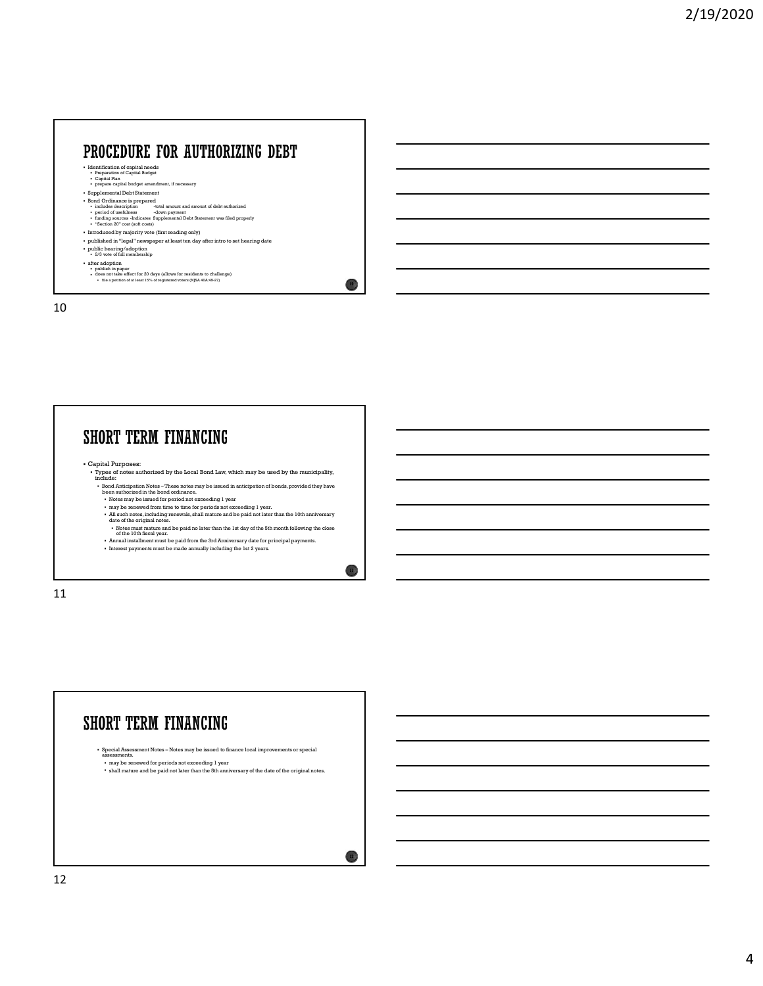# **ROCEDURE FOR AUTHORIZING DEBT**<br> **INCLUSION - TOTAL AMOUNT AND AMOUNT AND AMOUNT AND AMOUNT AND AMOUNT AND AMOUNT AND AMOUNT AND AMOUNT AND AMOUNT AND AMOUNT AND AMOUNT AND AMOUNT AND AMOUNT AND AMOUNT AND AMOUNT AND AMOU ROCEDURE FOR AUTHORIZING DEBT**<br> **Properties of usefulness -down payment of usefulness -down payment in conserverses**<br>  $\frac{1}{2}$  comparison of usefulness - Indicates -Indicates -Indicates -Indicates -Indicates -Indicates

 $10<sup>3</sup>$ 

- Identification of capital needs Preparation of Capital Budget Capital Plan
- 
- prepare capital budget amendment, if necessary<br>• Supplemental Debt Statement<br>• Bond Ordinance is prepared
- 
- 
- "Section 20" cost (soft costs)
- Introduced by majority vote (first reading only)<br>• published in "legal" newspaper at least ten day after intro to set hearing date
- public hearing/adoption 2/3 vote of full membership
- 
- 
- a filer adoption<br>• publish in paper<br>• does not take effect for 20 days (allows for residents to challenge)<br>• file a petition of at least 15% of requiremed woters (NJSA 40A:49-27)

10

## Capital Purposes: Types of notes authorized by the Local Bond Law, which may be used by the municipality, include: Bond Anticipation Notes – These notes may be issued in anticipation of bonds, provided they have been authorized in the bond ordinance. Notes may be issued for period not exceeding 1 year may be renewed from time to time for periods not exceeding 1 year. All such notes, including renewals, shall mature and be paid not later than the 10th anniversary date of the original notes. Notes must mature and be paid no later than the 1st day of the 5th month following the close of the 10th fiscal year. Annual installment must be paid from the 3rd Anniversary date for principal payments. Interest payments must be made annually including the 1st 2 years. 11 **ORT TERM FINANCING**<br> **EXAMPLE THE REAL PROPERTY AND ACTIVE CONTINUES.**<br> **CONTINUES AND CONTINUES AND ACTIVITY AND ACTIVITY AND ACTIVITY AND ACTIVITY AND ACTIVITY AND ACTIVITY AND ACTIVITY AND ACTIVITY AND ACTIVITY AND ACT**

11

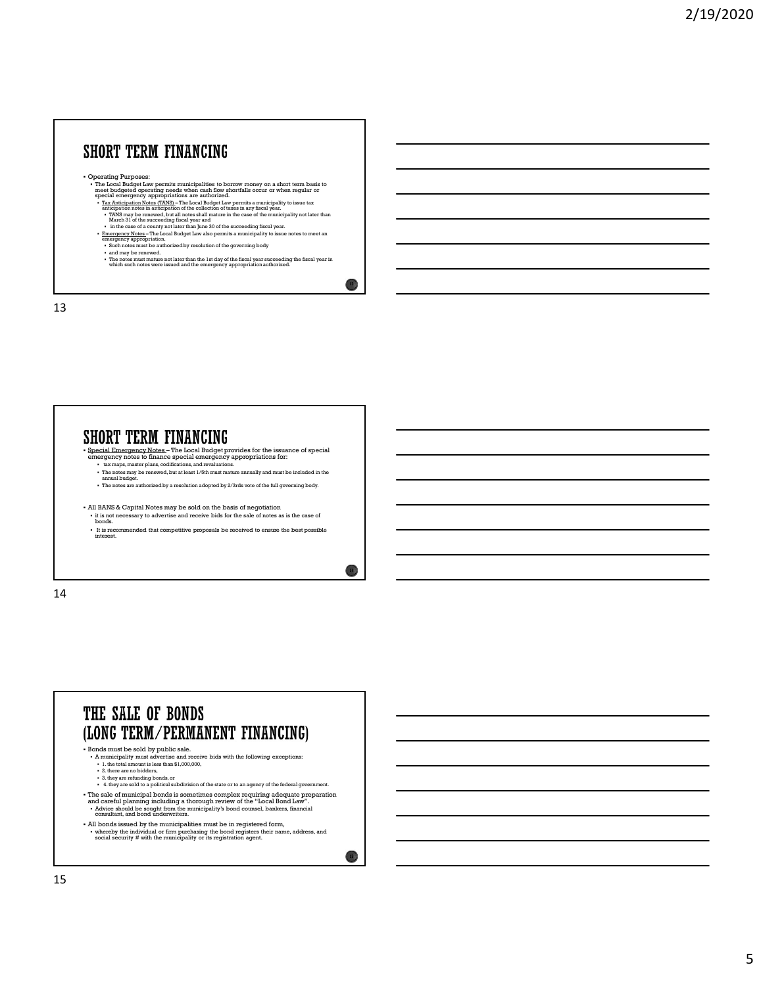



14

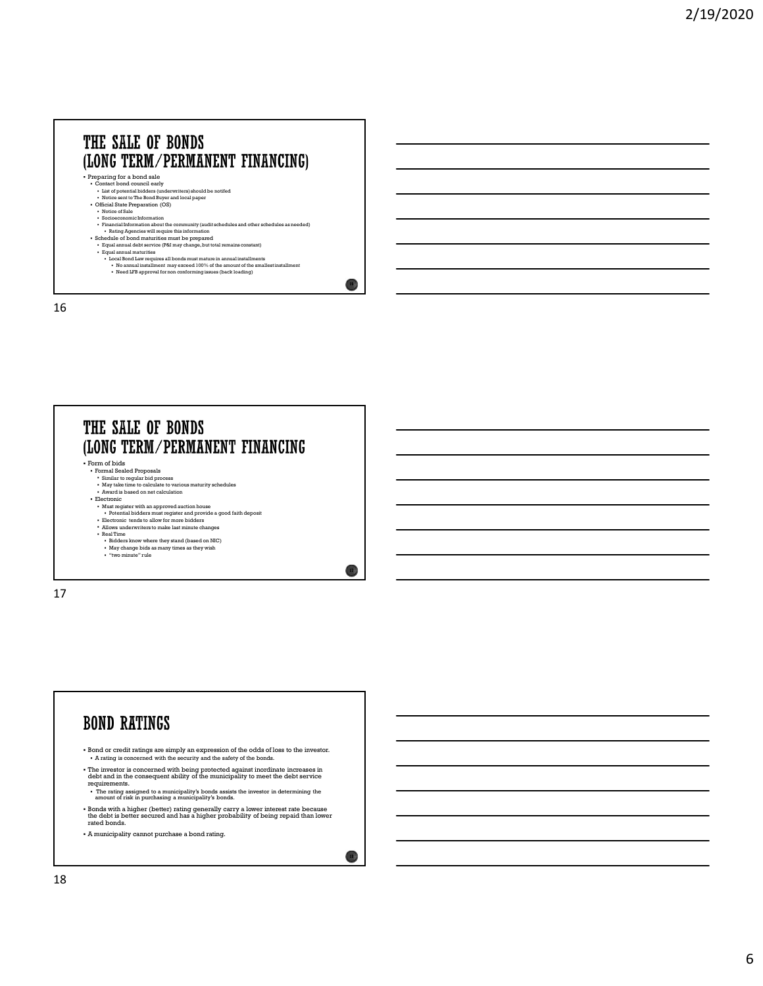



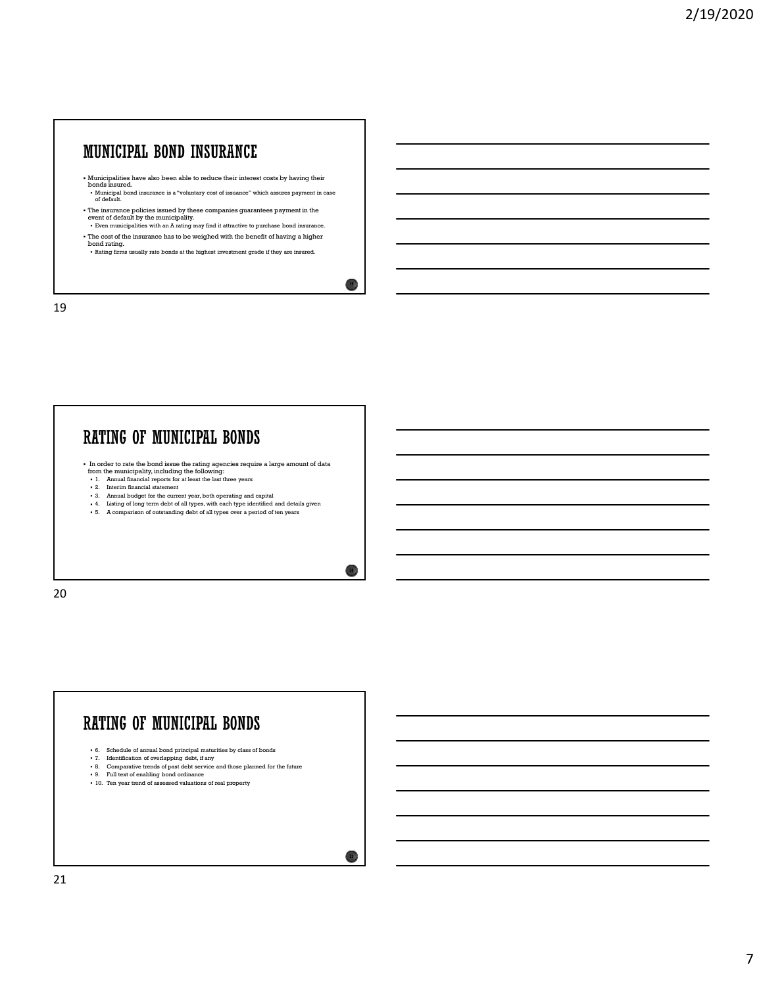- Municipalities have also been able to reduce their interest costs by having their bonds insured. Municipal bond insurance is a "voluntary cost of issuance" which assures payment in case of default.
- The insurance policies issued by these companies guarantees payment in the event of default by the municipality.
- Even municipalities with an A rating may find it attractive to purchase bond insurance. The cost of the insurance has to be weighed with the benefit of having a higher
- bond rating.<br>• Rating firms usually rate bonds at the highest investment grade if they are insured.

 $19<sup>3</sup>$ 

20  $\lambda$ 

19

## In order to rate the bond issue the rating agencies require a large amount of data from the municipality, including the following: 1. CONTROL THE MUNICIPAL BORNEY (AND THE STRAIGHT CONTROL TO THE CONTROL TO THE CONTROL TO THE CONTROL TO THE CONTROL TO THE CONTROL TO THE CONTROL TO THE CONTROL TO THE CONTROL TO THE CONTROL TO THE CONTROL TO THE CONTRO 2. A The current statement is a statement of the current of the current of the current of the current of the current of  $\alpha$  and  $\alpha$  and  $\alpha$  and  $\alpha$  and  $\alpha$  and  $\alpha$  and  $\alpha$  and  $\alpha$  and  $\alpha$  and  $\alpha$  and  $\alpha$  and  $\$ 5. A compute the distance of all types over a computer space of the all types over a period of all types of  $\sim$  3. A comparison of  $\sim$  3. A comparison of  $\sim$  3. A comparison of  $\sim$  3. A comparison of  $\sim$  3. A compari



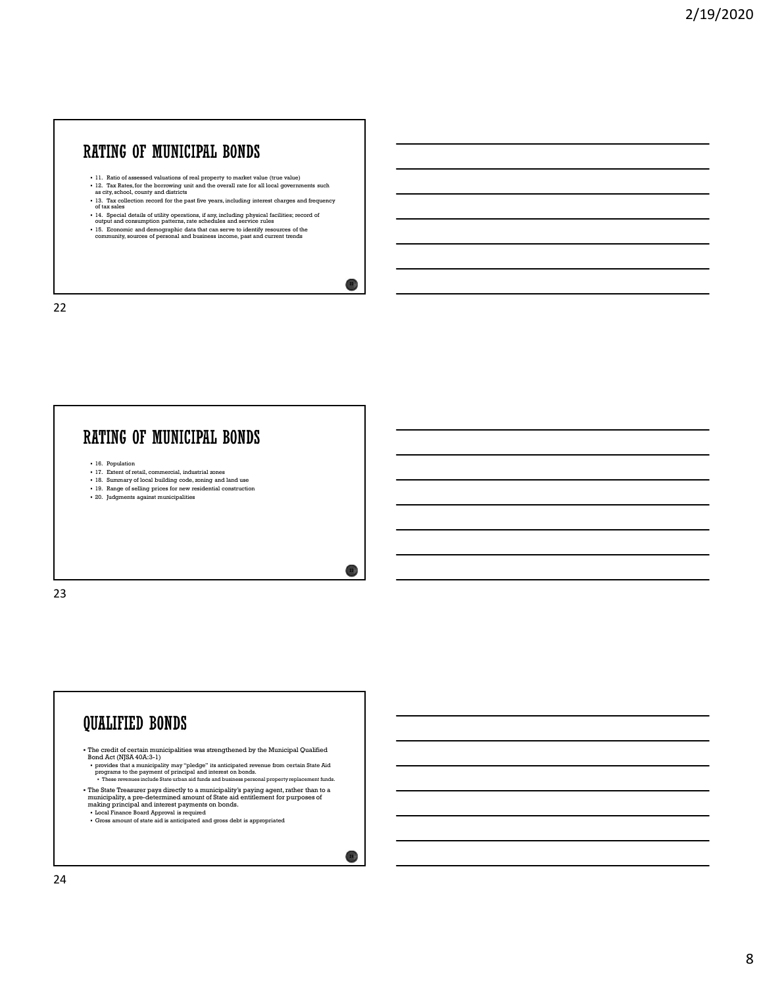## 11. Ratio of assessed valuations of real property to market value (true value)  $12$ . Tax Rates, for the borrowing unit and the overall rate for all local governments such as a city, school, county and districts in and the **TATING OF MUINICIPALE BONDS**<br>  $\begin{array}{|c|c|c|c|}\n\hline\n\text{11. Ratio, discussed relations of real properties} & \text{time (true) size} \\
\text{12. Find the discrete distribution of real properties} & \text{time (true) over a tree} \\
\text{13. The collection event during the total of the other all vectors} & \text{time (true) over a tree} \\
\text{14. The model definition of the past five points, including interest charges and frequency of the data of a different variables. A result is a similar to the case of the boundary, is the same as a set of the community, source of personal and business income, part and current tends\n\end{array}$  $\textbf{A}\textbf{TIME}$  **OF MUNICIPALIE BONDS**<br>
11. Ratio of assessed valuations of usal property to market value (true value)<br>
12. The Kahol, for the boundary pair and the overall matches for all local governments such<br>
13. The co **HTING OF MUNICIPAL. BONDS**<br>  $\cdots$  and  $\cdots$  and demographic distance of the compression of the community resources of the community, sources of the community, sources of personal and business income, past and current tre

- 
- 
- 

 $22)$ 

 $23 \text{ J}$ 

- 
- 

22

## **EXTING OF MUNICIPAL BONDS**<br>  $\frac{1}{16}$ ,  $\frac{3}{16}$ ,  $\frac{3}{16}$ ,  $\frac{3}{16}$ ,  $\frac{3}{16}$ ,  $\frac{3}{16}$ ,  $\frac{3}{16}$ ,  $\frac{3}{16}$ ,  $\frac{3}{16}$ ,  $\frac{3}{16}$ ,  $\frac{3}{16}$ ,  $\frac{3}{16}$ ,  $\frac{3}{16}$ ,  $\frac{3}{16}$ ,  $\frac{3}{16}$ ,  $\frac{3}{16}$ , ATING OF MUNICIPAL BONDS<br>  $\frac{1}{2}$ ,  $\frac{1}{2}$ ,  $\frac{1}{2}$ ,  $\frac{1}{2}$ ,  $\frac{1}{2}$ ,  $\frac{1}{2}$ ,  $\frac{1}{2}$ ,  $\frac{1}{2}$ ,  $\frac{1}{2}$ ,  $\frac{1}{2}$ ,  $\frac{1}{2}$ ,  $\frac{1}{2}$ ,  $\frac{1}{2}$ ,  $\frac{1}{2}$ ,  $\frac{1}{2}$ ,  $\frac{1}{2}$ ,  $\frac{1}{2}$ ,  $\frac{1}{2}$ 18. In the set of local building code, zoning and user of local building code, zoning and in the set of local building control building control building control building control building control building control building 19. Range of selling prices with the constraint of real property to make to relate the parameters and<br>
19. Range of selling prices for new residents are constructed in the selling prices of selling<br>
19. Range of selling p 21. It is more of the mass and viabration of each grown prop. In each wide with the first width of the control of the state of the state of the state of the state of the state of the state of the state of the state of the

- 
- 
- 

23 and 23 and 23 and 23 and 24 and 25 and 26 and 26 and 26 and 26 and 26 and 26 and 26 and 26 and 26 and 26 an